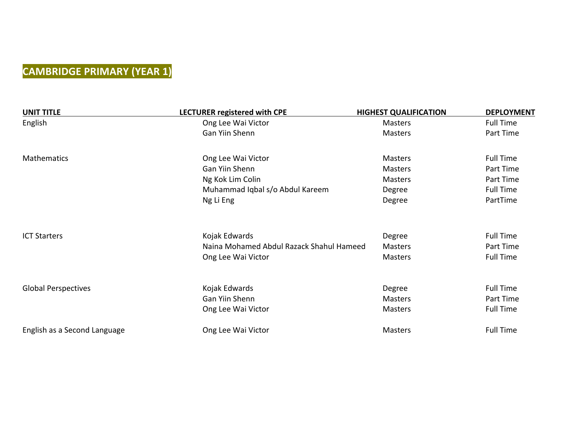#### **CAMBRIDGE PRIMARY (YEAR 1)**

| <b>UNIT TITLE</b>            | <b>LECTURER registered with CPE</b>      | <b>HIGHEST QUALIFICATION</b> | <b>DEPLOYMENT</b> |
|------------------------------|------------------------------------------|------------------------------|-------------------|
| English                      | Ong Lee Wai Victor                       | Masters                      | <b>Full Time</b>  |
|                              | Gan Yiin Shenn                           | <b>Masters</b>               | Part Time         |
| Mathematics                  | Ong Lee Wai Victor                       | <b>Masters</b>               | <b>Full Time</b>  |
|                              | Gan Yiin Shenn                           | Masters                      | Part Time         |
|                              | Ng Kok Lim Colin                         | <b>Masters</b>               | Part Time         |
|                              | Muhammad Iqbal s/o Abdul Kareem          | Degree                       | <b>Full Time</b>  |
|                              | Ng Li Eng                                | Degree                       | PartTime          |
| <b>ICT Starters</b>          | Kojak Edwards                            | Degree                       | <b>Full Time</b>  |
|                              | Naina Mohamed Abdul Razack Shahul Hameed | <b>Masters</b>               | Part Time         |
|                              | Ong Lee Wai Victor                       | <b>Masters</b>               | <b>Full Time</b>  |
| <b>Global Perspectives</b>   | Kojak Edwards                            | Degree                       | <b>Full Time</b>  |
|                              | Gan Yiin Shenn                           | Masters                      | Part Time         |
|                              | Ong Lee Wai Victor                       | <b>Masters</b>               | <b>Full Time</b>  |
| English as a Second Language | Ong Lee Wai Victor                       | <b>Masters</b>               | <b>Full Time</b>  |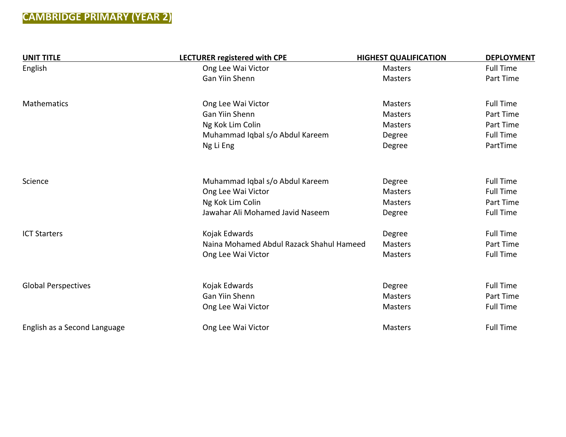#### **CAMBRIDGE PRIMARY (YEAR 2)**

| <b>UNIT TITLE</b>            | LECTURER registered with CPE                          | <b>HIGHEST QUALIFICATION</b> | <b>DEPLOYMENT</b> |
|------------------------------|-------------------------------------------------------|------------------------------|-------------------|
| English                      | Ong Lee Wai Victor                                    | <b>Masters</b>               | <b>Full Time</b>  |
|                              | Gan Yiin Shenn                                        | <b>Masters</b>               | Part Time         |
| <b>Mathematics</b>           | Ong Lee Wai Victor                                    | <b>Masters</b>               | <b>Full Time</b>  |
|                              | <b>Gan Yiin Shenn</b>                                 | <b>Masters</b>               | Part Time         |
|                              | Ng Kok Lim Colin                                      | <b>Masters</b>               | Part Time         |
|                              | Muhammad Iqbal s/o Abdul Kareem                       | Degree                       | <b>Full Time</b>  |
|                              | Ng Li Eng                                             | Degree                       | PartTime          |
| Science                      |                                                       |                              | <b>Full Time</b>  |
|                              | Muhammad Iqbal s/o Abdul Kareem<br>Ong Lee Wai Victor | Degree<br><b>Masters</b>     | <b>Full Time</b>  |
|                              | Ng Kok Lim Colin                                      | <b>Masters</b>               | Part Time         |
|                              | Jawahar Ali Mohamed Javid Naseem                      | Degree                       | <b>Full Time</b>  |
|                              |                                                       |                              |                   |
| <b>ICT Starters</b>          | Kojak Edwards                                         | Degree                       | <b>Full Time</b>  |
|                              | Naina Mohamed Abdul Razack Shahul Hameed              | <b>Masters</b>               | Part Time         |
|                              | Ong Lee Wai Victor                                    | <b>Masters</b>               | <b>Full Time</b>  |
| <b>Global Perspectives</b>   | Kojak Edwards                                         | Degree                       | <b>Full Time</b>  |
|                              | <b>Gan Yiin Shenn</b>                                 | <b>Masters</b>               | Part Time         |
|                              | Ong Lee Wai Victor                                    | <b>Masters</b>               | <b>Full Time</b>  |
| English as a Second Language | Ong Lee Wai Victor                                    | <b>Masters</b>               | <b>Full Time</b>  |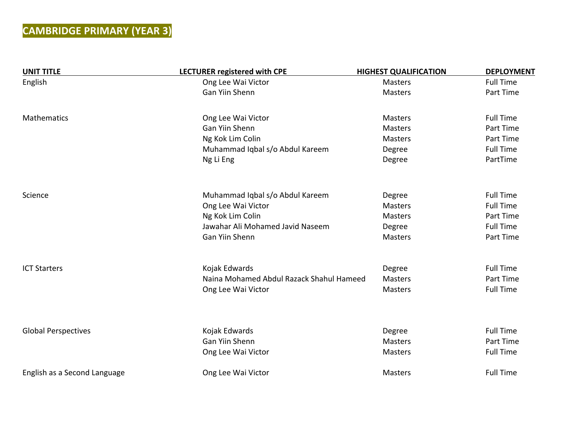# **CAMBRIDGE PRIMARY (YEAR 3)**

| <b>UNIT TITLE</b>            | <b>LECTURER registered with CPE</b>      | <b>HIGHEST QUALIFICATION</b> | <b>DEPLOYMENT</b> |
|------------------------------|------------------------------------------|------------------------------|-------------------|
| English                      | Ong Lee Wai Victor                       | Masters                      | <b>Full Time</b>  |
|                              | Gan Yiin Shenn                           | <b>Masters</b>               | Part Time         |
| <b>Mathematics</b>           | Ong Lee Wai Victor                       | <b>Masters</b>               | <b>Full Time</b>  |
|                              | Gan Yiin Shenn                           | <b>Masters</b>               | Part Time         |
|                              | Ng Kok Lim Colin                         | <b>Masters</b>               | Part Time         |
|                              | Muhammad Iqbal s/o Abdul Kareem          | Degree                       | <b>Full Time</b>  |
|                              | Ng Li Eng                                | Degree                       | PartTime          |
| Science                      | Muhammad Iqbal s/o Abdul Kareem          | Degree                       | <b>Full Time</b>  |
|                              | Ong Lee Wai Victor                       | <b>Masters</b>               | <b>Full Time</b>  |
|                              | Ng Kok Lim Colin                         | <b>Masters</b>               | Part Time         |
|                              | Jawahar Ali Mohamed Javid Naseem         | Degree                       | <b>Full Time</b>  |
|                              | Gan Yiin Shenn                           | Masters                      | Part Time         |
| <b>ICT Starters</b>          | Kojak Edwards                            | Degree                       | <b>Full Time</b>  |
|                              | Naina Mohamed Abdul Razack Shahul Hameed | <b>Masters</b>               | Part Time         |
|                              | Ong Lee Wai Victor                       | <b>Masters</b>               | <b>Full Time</b>  |
|                              |                                          |                              |                   |
| <b>Global Perspectives</b>   | Kojak Edwards                            | Degree                       | <b>Full Time</b>  |
|                              | Gan Yiin Shenn                           | <b>Masters</b>               | Part Time         |
|                              | Ong Lee Wai Victor                       | Masters                      | <b>Full Time</b>  |
| English as a Second Language | Ong Lee Wai Victor                       | Masters                      | <b>Full Time</b>  |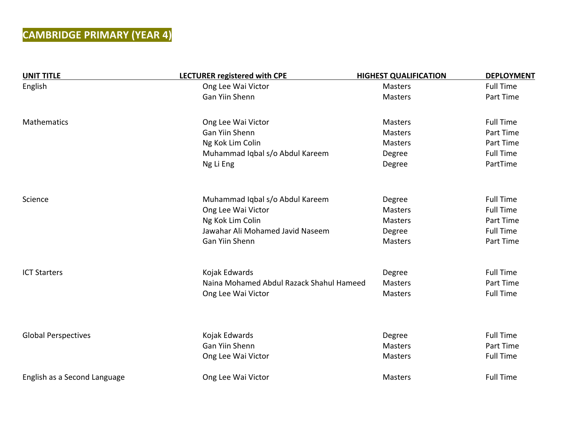## **CAMBRIDGE PRIMARY (YEAR 4)**

| <b>UNIT TITLE</b>            | <b>LECTURER registered with CPE</b>      | <b>HIGHEST QUALIFICATION</b> | <b>DEPLOYMENT</b> |
|------------------------------|------------------------------------------|------------------------------|-------------------|
| English                      | Ong Lee Wai Victor                       | <b>Masters</b>               | <b>Full Time</b>  |
|                              | Gan Yiin Shenn                           | Masters                      | Part Time         |
| Mathematics                  | Ong Lee Wai Victor                       | <b>Masters</b>               | <b>Full Time</b>  |
|                              | <b>Gan Yiin Shenn</b>                    | <b>Masters</b>               | Part Time         |
|                              | Ng Kok Lim Colin                         | Masters                      | Part Time         |
|                              | Muhammad Iqbal s/o Abdul Kareem          | Degree                       | <b>Full Time</b>  |
|                              | Ng Li Eng                                | Degree                       | PartTime          |
| Science                      | Muhammad Iqbal s/o Abdul Kareem          | Degree                       | <b>Full Time</b>  |
|                              | Ong Lee Wai Victor                       | <b>Masters</b>               | <b>Full Time</b>  |
|                              | Ng Kok Lim Colin                         | Masters                      | Part Time         |
|                              | Jawahar Ali Mohamed Javid Naseem         | Degree                       | <b>Full Time</b>  |
|                              | Gan Yiin Shenn                           | <b>Masters</b>               | Part Time         |
| <b>ICT Starters</b>          | Kojak Edwards                            | Degree                       | <b>Full Time</b>  |
|                              | Naina Mohamed Abdul Razack Shahul Hameed | Masters                      | Part Time         |
|                              | Ong Lee Wai Victor                       | Masters                      | <b>Full Time</b>  |
|                              |                                          |                              |                   |
| <b>Global Perspectives</b>   | Kojak Edwards                            | Degree                       | <b>Full Time</b>  |
|                              | Gan Yiin Shenn                           | <b>Masters</b>               | Part Time         |
|                              | Ong Lee Wai Victor                       | <b>Masters</b>               | <b>Full Time</b>  |
| English as a Second Language | Ong Lee Wai Victor                       | Masters                      | <b>Full Time</b>  |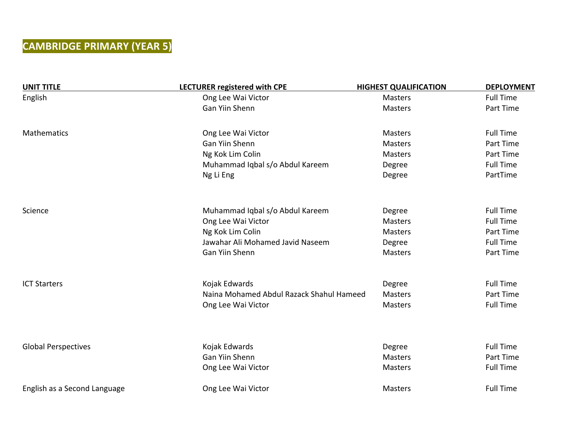## **CAMBRIDGE PRIMARY (YEAR 5)**

| <b>UNIT TITLE</b>            | <b>LECTURER registered with CPE</b>      | <b>HIGHEST QUALIFICATION</b> | <b>DEPLOYMENT</b> |
|------------------------------|------------------------------------------|------------------------------|-------------------|
| English                      | Ong Lee Wai Victor                       | Masters                      | <b>Full Time</b>  |
|                              | Gan Yiin Shenn                           | Masters                      | Part Time         |
| Mathematics                  | Ong Lee Wai Victor                       | <b>Masters</b>               | <b>Full Time</b>  |
|                              | <b>Gan Yiin Shenn</b>                    | <b>Masters</b>               | Part Time         |
|                              | Ng Kok Lim Colin                         | <b>Masters</b>               | Part Time         |
|                              | Muhammad Iqbal s/o Abdul Kareem          | Degree                       | <b>Full Time</b>  |
|                              | Ng Li Eng                                | Degree                       | PartTime          |
| Science                      | Muhammad Iqbal s/o Abdul Kareem          | Degree                       | <b>Full Time</b>  |
|                              | Ong Lee Wai Victor                       | <b>Masters</b>               | <b>Full Time</b>  |
|                              | Ng Kok Lim Colin                         | <b>Masters</b>               | Part Time         |
|                              | Jawahar Ali Mohamed Javid Naseem         | Degree                       | <b>Full Time</b>  |
|                              | Gan Yiin Shenn                           | Masters                      | Part Time         |
| <b>ICT Starters</b>          | Kojak Edwards                            | Degree                       | <b>Full Time</b>  |
|                              | Naina Mohamed Abdul Razack Shahul Hameed | <b>Masters</b>               | Part Time         |
|                              | Ong Lee Wai Victor                       | <b>Masters</b>               | <b>Full Time</b>  |
|                              |                                          |                              |                   |
| <b>Global Perspectives</b>   | Kojak Edwards                            | Degree                       | <b>Full Time</b>  |
|                              | Gan Yiin Shenn                           | <b>Masters</b>               | Part Time         |
|                              | Ong Lee Wai Victor                       | <b>Masters</b>               | <b>Full Time</b>  |
| English as a Second Language | Ong Lee Wai Victor                       | Masters                      | <b>Full Time</b>  |